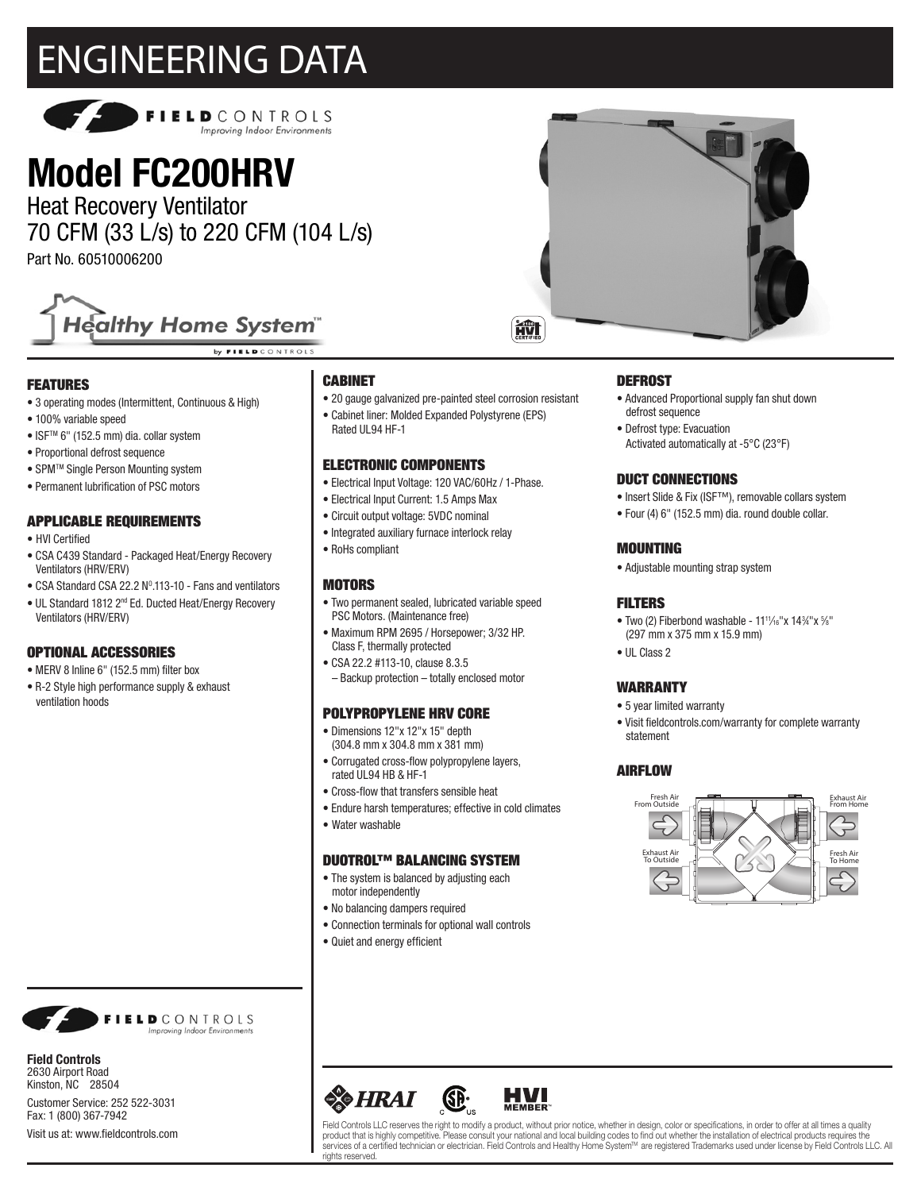# ENGINEERING DATA



# **Model FC200HRV**

Heat Recovery Ventilator 70 CFM (33 L/s) to 220 CFM (104 L/s)

Part No. 60510006200



by FIELD CONTROLS

# FEATURES

- 3 operating modes (Intermittent, Continuous & High)
- 100% variable speed
- ISFTM 6" (152.5 mm) dia. collar system
- Proportional defrost sequence
- SPMTM Single Person Mounting system
- Permanent lubrification of PSC motors

### APPLICABLE REQUIREMENTS

- HVI Certified
- CSA C439 Standard Packaged Heat/Energy Recovery Ventilators (HRV/ERV)
- CSA Standard CSA 22.2  $N^0.113$ -10 Fans and ventilators
- UL Standard 1812 2nd Ed. Ducted Heat/Energy Recovery Ventilators (HRV/ERV)

## OPTIONAL ACCESSORIES

- MERV 8 Inline 6" (152.5 mm) filter box
- R-2 Style high performance supply & exhaust ventilation hoods



**Field Controls** 2630 Airport Road Kinston, NC 28504 Customer Service: 252 522-3031 Fax: 1 (800) 367-7942 Visit us at: www.fieldcontrols.com

# CABINET

Rated UL94 HF-1

- 20 gauge galvanized pre-painted steel corrosion resistant
- Cabinet liner: Molded Expanded Polystyrene (EPS)

# ELECTRONIC COMPONENTS

- Electrical Input Voltage: 120 VAC/60Hz / 1-Phase.
- Electrical Input Current: 1.5 Amps Max
- Circuit output voltage: 5VDC nominal
- Integrated auxiliary furnace interlock relay
- RoHs compliant

#### **MOTORS**

- Two permanent sealed, lubricated variable speed PSC Motors. (Maintenance free)
- Maximum RPM 2695 / Horsepower; 3/32 HP. Class F, thermally protected
- CSA 22.2 #113-10, clause 8.3.5 – Backup protection – totally enclosed motor

#### POLYPROPYLENE HRV CORE

- Dimensions 12"x 12"x 15" depth (304.8 mm x 304.8 mm x 381 mm)
- Corrugated cross-flow polypropylene layers, rated UL94 HB & HF-1
- Cross-flow that transfers sensible heat
- Endure harsh temperatures; effective in cold climates
- Water washable

#### DUOTROL™ BALANCING SYSTEM

- The system is balanced by adjusting each motor independently
- No balancing dampers required
- Connection terminals for optional wall controls
- Quiet and energy efficient



#### **DEFROST**

- Advanced Proportional supply fan shut down defrost sequence
- Defrost type: Evacuation Activated automatically at -5°C (23°F)

#### DUCT CONNECTIONS

- Insert Slide & Fix (ISF™), removable collars system
- Four (4) 6" (152.5 mm) dia. round double collar.

#### MOUNTING

• Adjustable mounting strap system

#### FILTERS

- Two (2) Fiberbond washable  $11^{11}/_{16}$ "x  $14^{3}/_{4}$ "x  $\frac{5}{6}$ " (297 mm x 375 mm x 15.9 mm)
- III Class 2

#### WARRANTY

- 5 year limited warranty
- Visit fieldcontrols.com/warranty for complete warranty statement

## AIRFLOW





Field Controls LLC reserves the right to modify a product, without prior notice, whether in design, color or specifications, in order to offer at all times a quality product that is highly competitive. Please consult your national and local building codes to find out whether the installation of electrical products requires the services of a certified technician or electrician. Field Controls and Healthy Home System™ are registered Trademarks used under license by Field Controls LLC. All rights reserved.

**HVI**<br>MEMBER